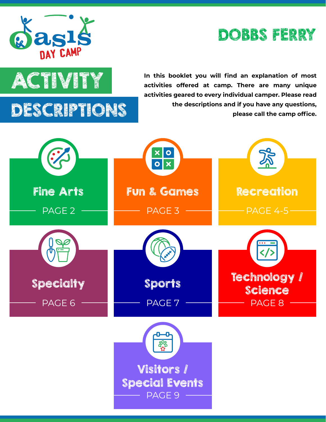

#### DOBBS FERRY



**ACTIVITY** In this booklet you will find an explanation of most<br>activities offered at camp. There are many unique **activities offered at camp. There are many unique activities geared to every individual camper. Please read the descriptions and if you have any questions, please call the camp office.**

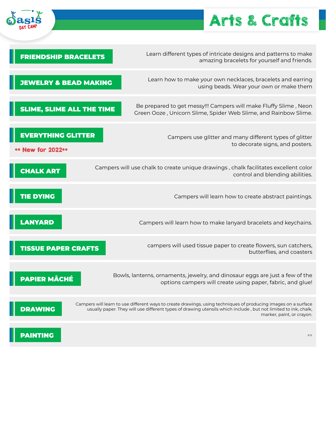

## Arts & Crafts

| <b>FRIENDSHIP BRACELETS</b>                    | Learn different types of intricate designs and patterns to make<br>amazing bracelets for yourself and friends.                                                                                                                                                |
|------------------------------------------------|---------------------------------------------------------------------------------------------------------------------------------------------------------------------------------------------------------------------------------------------------------------|
| <b>JEWELRY &amp; BEAD MAKING</b>               | Learn how to make your own necklaces, bracelets and earring<br>using beads. Wear your own or make them                                                                                                                                                        |
| <b>SLIME, SLIME ALL THE TIME</b>               | Be prepared to get messy!!! Campers will make Fluffy Slime, Neon<br>Green Ooze, Unicorn Slime, Spider Web Slime, and Rainbow Slime.                                                                                                                           |
| <b>EVERYTHING GLITTER</b><br>** New for 2022** | Campers use glitter and many different types of glitter<br>to decorate signs, and posters.                                                                                                                                                                    |
| <b>CHALK ART</b>                               | Campers will use chalk to create unique drawings, chalk facilitates excellent color<br>control and blending abilities.                                                                                                                                        |
| <b>TIE DYING</b>                               | Campers will learn how to create abstract paintings.                                                                                                                                                                                                          |
| <b>LANYARD</b>                                 | Campers will learn how to make lanyard bracelets and keychains.                                                                                                                                                                                               |
| <b>TISSUE PAPER CRAFTS</b>                     | campers will used tissue paper to create flowers, sun catchers,<br>butterflies, and coasters                                                                                                                                                                  |
| <b>PAPIER MÂCHÉ</b>                            | Bowls, lanterns, ornaments, jewelry, and dinosaur eggs are just a few of the<br>options campers will create using paper, fabric, and glue!                                                                                                                    |
| <b>DRAWING</b>                                 | Campers will learn to use different ways to create drawings, using techniques of producing images on a surface<br>usually paper. They will use different types of drawing utensils which include, but not limited to ink, chalk,<br>marker, paint, or crayon. |
| <b>PAINTING</b>                                | $=$ $=$                                                                                                                                                                                                                                                       |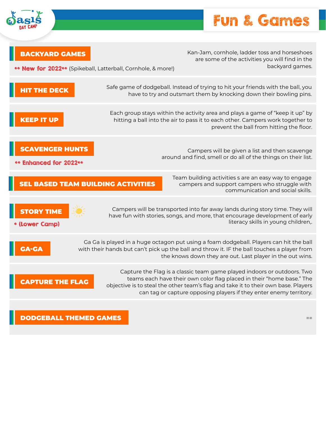

### Fun & Games

| <b>BACKYARD GAMES</b><br>** New for 2022** (Spikeball, Latterball, Cornhole, & more!) | Kan-Jam, cornhole, ladder toss and horseshoes<br>are some of the activities you will find in the<br>backyard games.                                                                                                                                                                                          |
|---------------------------------------------------------------------------------------|--------------------------------------------------------------------------------------------------------------------------------------------------------------------------------------------------------------------------------------------------------------------------------------------------------------|
| <b>HIT THE DECK</b>                                                                   | Safe game of dodgeball. Instead of trying to hit your friends with the ball, you<br>have to try and outsmart them by knocking down their bowling pins.                                                                                                                                                       |
| <b>KEEP IT UP</b>                                                                     | Each group stays within the activity area and plays a game of "keep it up" by<br>hitting a ball into the air to pass it to each other. Campers work together to<br>prevent the ball from hitting the floor.                                                                                                  |
| <b>SCAVENGER HUNTS</b><br>** Enhanced for 2022 **                                     | Campers will be given a list and then scavenge<br>around and find, smell or do all of the things on their list.                                                                                                                                                                                              |
| <b>SEL BASED TEAM BUILDING ACTIVITIES</b>                                             | Team building activities s are an easy way to engage<br>campers and support campers who struggle with<br>communication and social skills.                                                                                                                                                                    |
| <b>STORY TIME</b><br>* (Lower Camp)                                                   | Campers will be transported into far away lands during story time. They will<br>have fun with stories, songs, and more, that encourage development of early<br>literacy skills in young children,.                                                                                                           |
| <b>GA-GA</b>                                                                          | Ga Ga is played in a huge octagon put using a foam dodgeball. Players can hit the ball<br>with their hands but can't pick up the ball and throw it. IF the ball touches a player from<br>the knows down they are out. Last player in the out wins.                                                           |
| <b>CAPTURE THE FLAG</b>                                                               | Capture the Flag is a classic team game played indoors or outdoors. Two<br>teams each have their own color flag placed in their "home base." The<br>objective is to steal the other team's flag and take it to their own base. Players<br>can tag or capture opposing players if they enter enemy territory. |
| <b>DODGEBALL THEMED GAMES</b>                                                         | $=$ $=$                                                                                                                                                                                                                                                                                                      |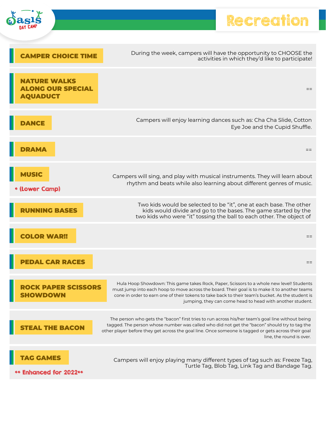|                                                                   | Recreati                                                                                                                                                                                                                                                                                                                                                  |
|-------------------------------------------------------------------|-----------------------------------------------------------------------------------------------------------------------------------------------------------------------------------------------------------------------------------------------------------------------------------------------------------------------------------------------------------|
| <b>EAMPER CHOICE TIME</b>                                         | During the week, campers will have the opportunity to CHOOSE the<br>activities in which they'd like to participate!                                                                                                                                                                                                                                       |
| <b>NATURE WALKS</b><br><b>ALONG OUR SPECIAL</b><br><b>OUADUCT</b> | $==$                                                                                                                                                                                                                                                                                                                                                      |
| <b>DANCE</b>                                                      | Campers will enjoy learning dances such as: Cha Cha Slide, Cotton<br>Eye Joe and the Cupid Shuffle.                                                                                                                                                                                                                                                       |
|                                                                   | $==$                                                                                                                                                                                                                                                                                                                                                      |
| * (Lower Camp)                                                    | Campers will sing, and play with musical instruments. They will learn about<br>rhythm and beats while also learning about different genres of music.                                                                                                                                                                                                      |
| <b>NNING BASES</b>                                                | Two kids would be selected to be "it", one at each base. The other<br>kids would divide and go to the bases. The game started by the<br>two kids who were "it" tossing the ball to each other. The object of                                                                                                                                              |
|                                                                   | $==$                                                                                                                                                                                                                                                                                                                                                      |
| <b>PEDAL CAR RACES</b>                                            | $==$                                                                                                                                                                                                                                                                                                                                                      |
| <b>PAPER SCISSORS</b>                                             | Hula Hoop Showdown: This game takes Rock, Paper, Scissors to a whole new level! Students<br>must jump into each hoop to move across the board. Their goal is to make it to another teams<br>cone in order to earn one of their tokens to take back to their team's bucket. As the student is<br>jumping, they can come head to head with another student. |
| <b>EAL THE BACON</b>                                              | The person who gets the "bacon" first tries to run across his/her team's goal line without being<br>tagged. The person whose number was called who did not get the "bacon" should try to tag the<br>other player before they get across the goal line. Once someone is tagged or gets across their goal<br>line, the round is over.                       |
| <b>G GAMES</b><br>** Enhanced for 2022**                          | Campers will enjoy playing many different types of tag such as: Freeze Tag,<br>Turtle Tag, Blob Tag, Link Tag and Bandage Tag.                                                                                                                                                                                                                            |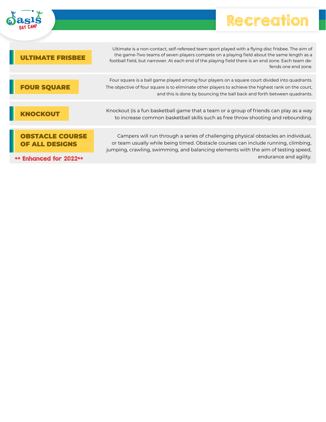

F

| <b>DAY CAMP</b> |
|-----------------|
|-----------------|

| <b>AATE FRISBEE</b>                      | Ultimate is a non-contact, self-refereed team sport played with a flying disc frisbee. The aim of<br>the game-Two teams of seven players compete on a playing field about the same length as a<br>football field, but narrower. At each end of the playing field there is an end zone. Each team de-<br>fends one end zone. |
|------------------------------------------|-----------------------------------------------------------------------------------------------------------------------------------------------------------------------------------------------------------------------------------------------------------------------------------------------------------------------------|
| <b>FOUR SQUARE</b>                       | Four square is a ball game played among four players on a square court divided into quadrants.<br>The objective of four square is to eliminate other players to achieve the highest rank on the court,<br>and this is done by bouncing the ball back and forth between quadrants.                                           |
| <b>NOCKOUT</b>                           | Knockout (is a fun basketball game that a team or a group of friends can play as a way<br>to increase common basketball skills such as free throw shooting and rebounding.                                                                                                                                                  |
| <b>OBSTACLE COURSE</b><br>OF ALL DESIGNS | Campers will run through a series of challenging physical obstacles an individual,<br>or team usually while being timed. Obstacle courses can include running, climbing,<br>jumping, crawling, swimming, and balancing elements with the aim of testing speed,                                                              |
| ** Enhanced for 2022**                   | endurance and agility.                                                                                                                                                                                                                                                                                                      |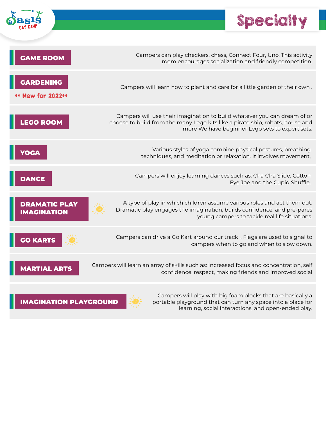

# Specialty

ł

 $\frac{1}{\sqrt{2}}$ 

| <b>GAME ROOM</b>                           | Campers can play checkers, chess, Connect Four, Uno. This activity<br>room encourages socialization and friendly competition.                                                                                |
|--------------------------------------------|--------------------------------------------------------------------------------------------------------------------------------------------------------------------------------------------------------------|
| <b>GARDENING</b><br>** New for 2022**      | Campers will learn how to plant and care for a little garden of their own.                                                                                                                                   |
| <b>LEGO ROOM</b>                           | Campers will use their imagination to build whatever you can dream of or<br>choose to build from the many Lego kits like a pirate ship, robots, house and<br>more We have beginner Lego sets to expert sets. |
| YOGA                                       | Various styles of yoga combine physical postures, breathing<br>techniques, and meditation or relaxation. It involves movement,                                                                               |
| <b>DANCE</b>                               | Campers will enjoy learning dances such as: Cha Cha Slide, Cotton<br>Eye Joe and the Cupid Shuffle.                                                                                                          |
| <b>DRAMATIC PLAY</b><br><b>IMAGINATION</b> | A type of play in which children assume various roles and act them out.<br>Dramatic play engages the imagination, builds confidence, and pre-pares<br>young campers to tackle real life situations.          |
| <b>GO KARTS</b>                            | Campers can drive a Go Kart around our track  Flags are used to signal to<br>campers when to go and when to slow down.                                                                                       |
| <b>MARTIAL ARTS</b>                        | Campers will learn an array of skills such as: Increased focus and concentration, self<br>confidence, respect, making friends and improved social                                                            |
| <b>IMAGINATION PLAYGROUND</b>              | Campers will play with big foam blocks that are basically a<br>portable playground that can turn any space into a place for<br>learning, social interactions, and open-ended play.                           |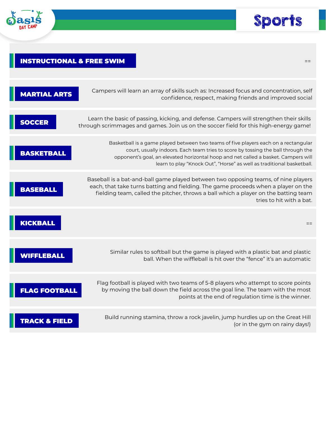



#### INSTRUCTIONAL & FREE SWIM  $\equiv$

| Campers will learn an array of skills such as: Increased focus and concentration, self<br>confidence, respect, making friends and improved social                                                                                                                                                                                      | <b>MARTIAL ARTS</b>      |
|----------------------------------------------------------------------------------------------------------------------------------------------------------------------------------------------------------------------------------------------------------------------------------------------------------------------------------------|--------------------------|
| Learn the basic of passing, kicking, and defense. Campers will strengthen their skills<br>through scrimmages and games. Join us on the soccer field for this high-energy game!                                                                                                                                                         | <b>SOCCER</b>            |
| Basketball is a game played between two teams of five players each on a rectangular<br>court, usually indoors. Each team tries to score by tossing the ball through the<br>opponent's goal, an elevated horizontal hoop and net called a basket. Campers will<br>learn to play "Knock Out", "Horse" as well as traditional basketball. | <b>BASKETBALL</b>        |
| Baseball is a bat-and-ball game played between two opposing teams, of nine players<br>each, that take turns batting and fielding. The game proceeds when a player on the<br>fielding team, called the pitcher, throws a ball which a player on the batting team<br>tries to hit with a bat.                                            | <b>BASEBALL</b>          |
| $==$                                                                                                                                                                                                                                                                                                                                   | <b>KICKBALL</b>          |
| Similar rules to softball but the game is played with a plastic bat and plastic<br>ball. When the wiffleball is hit over the "fence" it's an automatic                                                                                                                                                                                 | <b>WIFFLEBALL</b>        |
| Flag football is played with two teams of 5-8 players who attempt to score points<br>by moving the ball down the field across the goal line. The team with the most<br>points at the end of regulation time is the winner.                                                                                                             | <b>FLAG FOOTBALL</b>     |
| Build running stamina, throw a rock javelin, jump hurdles up on the Great Hill<br>(or in the gym on rainy days!)                                                                                                                                                                                                                       | <b>TRACK &amp; FIELD</b> |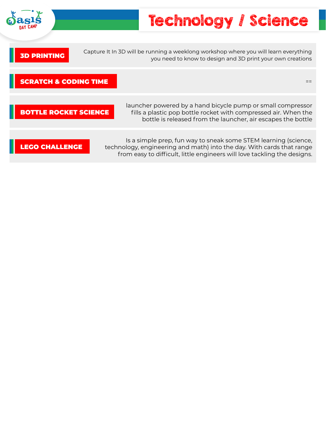